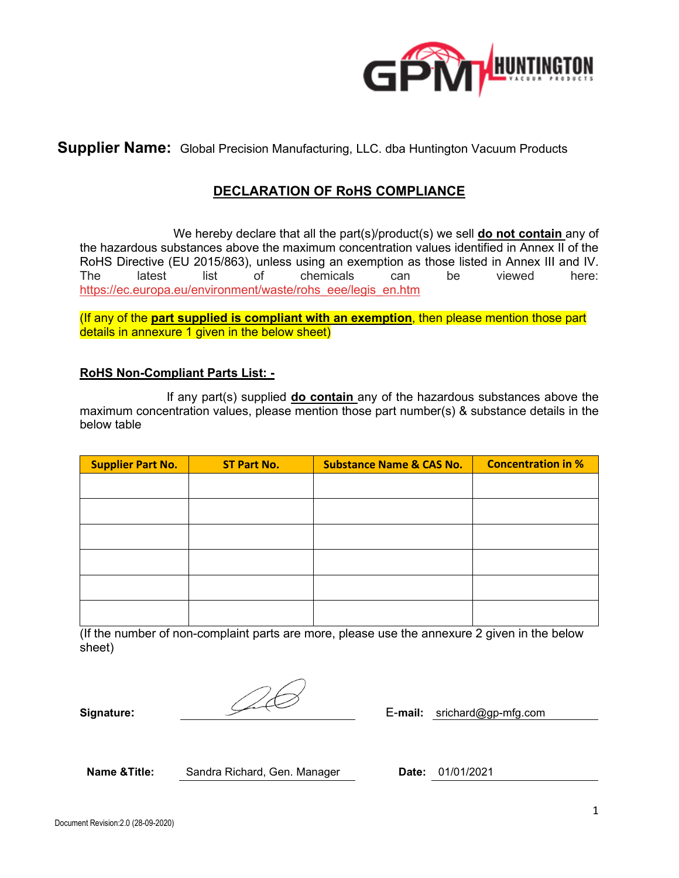

**Supplier Name:** Global Precision Manufacturing, LLC. dba Huntington Vacuum Products

# **DECLARATION OF RoHS COMPLIANCE**

 We hereby declare that all the part(s)/product(s) we sell **do not contain** any of the hazardous substances above the maximum concentration values identified in Annex II of the RoHS Directive (EU 2015/863), unless using an exemption as those listed in Annex III and IV. The latest list of chemicals can be viewed here: [https://ec.europa.eu/environment/waste/rohs\\_eee/legis\\_en.htm](https://ec.europa.eu/environment/waste/rohs_eee/legis_en.htm)

(If any of the **part supplied is compliant with an exemption**, then please mention those part details in annexure 1 given in the below sheet)

#### **RoHS Non-Compliant Parts List: -**

 If any part(s) supplied **do contain** any of the hazardous substances above the maximum concentration values, please mention those part number(s) & substance details in the below table

| <b>Supplier Part No.</b> | <b>ST Part No.</b> | <b>Substance Name &amp; CAS No.</b> | <b>Concentration in %</b> |
|--------------------------|--------------------|-------------------------------------|---------------------------|
|                          |                    |                                     |                           |
|                          |                    |                                     |                           |
|                          |                    |                                     |                           |
|                          |                    |                                     |                           |
|                          |                    |                                     |                           |
|                          |                    |                                     |                           |

(If the number of non-complaint parts are more, please use the annexure 2 given in the below sheet)

**Signature:** E-**mail:** srichard@gp-mfg.com

**Name &Title:** Sandra Richard, Gen. Manager **Date:** 01/01/2021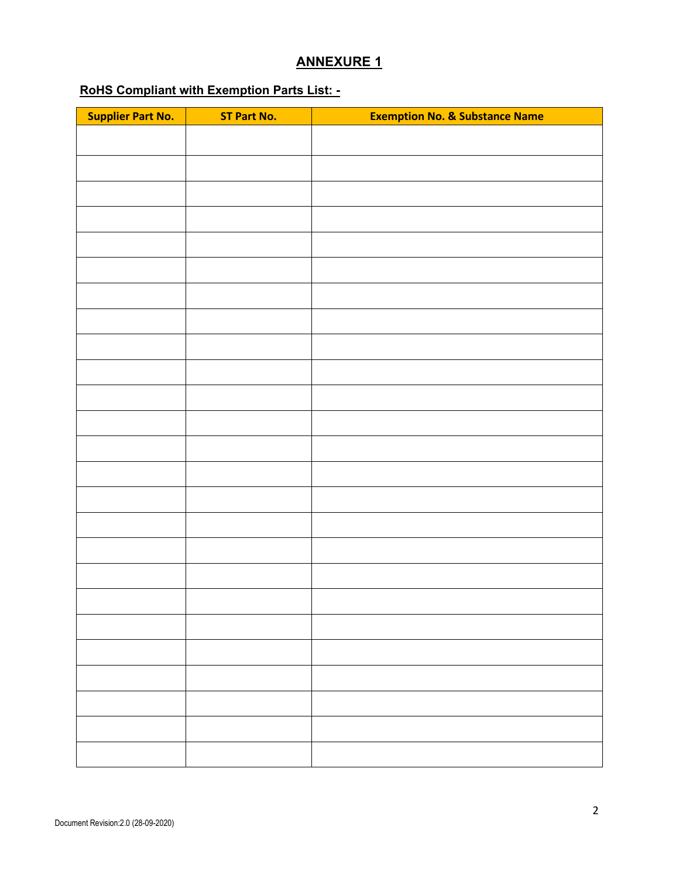#### **ANNEXURE 1**

# **RoHS Compliant with Exemption Parts List: -**

| <b>Supplier Part No.</b> | <b>ST Part No.</b> | <b>Exemption No. &amp; Substance Name</b> |
|--------------------------|--------------------|-------------------------------------------|
|                          |                    |                                           |
|                          |                    |                                           |
|                          |                    |                                           |
|                          |                    |                                           |
|                          |                    |                                           |
|                          |                    |                                           |
|                          |                    |                                           |
|                          |                    |                                           |
|                          |                    |                                           |
|                          |                    |                                           |
|                          |                    |                                           |
|                          |                    |                                           |
|                          |                    |                                           |
|                          |                    |                                           |
|                          |                    |                                           |
|                          |                    |                                           |
|                          |                    |                                           |
|                          |                    |                                           |
|                          |                    |                                           |
|                          |                    |                                           |
|                          |                    |                                           |
|                          |                    |                                           |
|                          |                    |                                           |
|                          |                    |                                           |
|                          |                    |                                           |
|                          |                    |                                           |
|                          |                    |                                           |
|                          |                    |                                           |
|                          |                    |                                           |
|                          |                    |                                           |
|                          |                    |                                           |
|                          |                    |                                           |
|                          |                    |                                           |